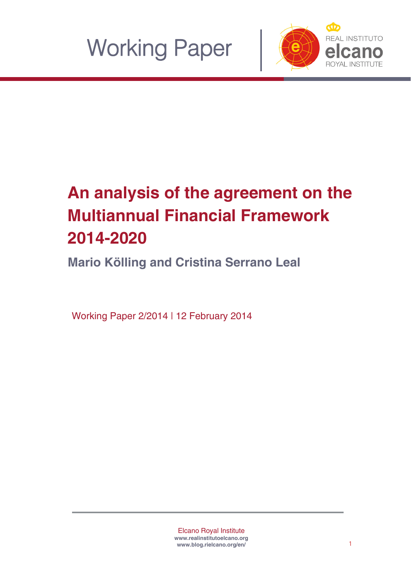



# **An analysis of the agreement on the Multiannual Financial Framework 2014-2020**

**Mario Kölling and Cristina Serrano Leal**

Working Paper 2/2014 | 12 February 2014

Elcano Royal Institute **www.realinstitutoelcano.or[g](http://www.blog.rielcano.org/en/) [www.blog.rielcano.org/en/](http://www.blog.rielcano.org/en/)**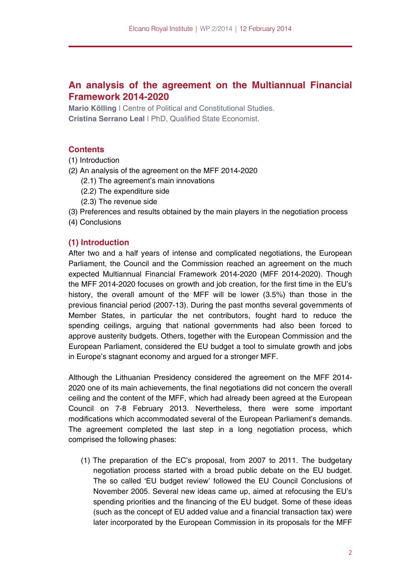# **An analysis of the agreement on the Multiannual Financial Framework 2014-2020**

**Mario Kölling** | Centre of Political and Constitutional Studies. **Cristina Serrano Leal** | PhD, Qualified State Economist.

# **Contents**

- (1) Introduction
- (2) An analysis of the agreement on the MFF 2014-2020
	- (2.1) The agreement's main innovations
	- (2.2) The expenditure side
	- (2.3) The revenue side
- (3) Preferences and results obtained by the main players in the negotiation process
- (4) Conclusions

# **(1) Introduction**

After two and a half years of intense and complicated negotiations, the European Parliament, the Council and the Commission reached an agreement on the much expected Multiannual Financial Framework 2014-2020 (MFF 2014-2020). Though the MFF 2014-2020 focuses on growth and job creation, for the first time in the EU's history, the overall amount of the MFF will be lower (3.5%) than those in the previous financial period (2007-13). During the past months several governments of Member States, in particular the net contributors, fought hard to reduce the spending ceilings, arguing that national governments had also been forced to approve austerity budgets. Others, together with the European Commission and the European Parliament, considered the EU budget a tool to simulate growth and jobs in Europe's stagnant economy and argued for a stronger MFF.

Although the Lithuanian Presidency considered the agreement on the MFF 2014- 2020 one of its main achievements, the final negotiations did not concern the overall ceiling and the content of the MFF, which had already been agreed at the European Council on 7-8 February 2013. Nevertheless, there were some important modifications which accommodated several of the European Parliament's demands. The agreement completed the last step in a long negotiation process, which comprised the following phases:

(1) The preparation of the EC's proposal, from 2007 to 2011. The budgetary negotiation process started with a broad public debate on the EU budget. The so called 'EU budget review' followed the EU Council Conclusions of November 2005. Several new ideas came up, aimed at refocusing the EU's spending priorities and the financing of the EU budget. Some of these ideas (such as the concept of EU added value and a financial transaction tax) were later incorporated by the European Commission in its proposals for the MFF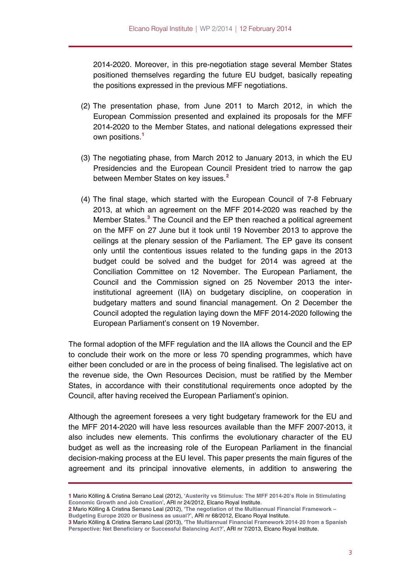2014-2020. Moreover, in this pre-negotiation stage several Member States positioned themselves regarding the future EU budget, basically repeating the positions expressed in the previous MFF negotiations.

- (2) The presentation phase, from June 2011 to March 2012, in which the European Commission presented and explained its proposals for the MFF 2014-2020 to the Member States, and national delegations expressed their own positions.**[1](#page-2-0)**
- (3) The negotiating phase, from March 2012 to January 2013, in which the EU Presidencies and the European Council President tried to narrow the gap between Member States on key issues.**[2](#page-2-1)**
- (4) The final stage, which started with the European Council of 7-8 February 2013, at which an agreement on the MFF 2014-2020 was reached by the Member States.**[3](#page-2-2)** The Council and the EP then reached a political agreement on the MFF on 27 June but it took until 19 November 2013 to approve the ceilings at the plenary session of the Parliament. The EP gave its consent only until the contentious issues related to the funding gaps in the 2013 budget could be solved and the budget for 2014 was agreed at the Conciliation Committee on 12 November. The European Parliament, the Council and the Commission signed on 25 November 2013 the interinstitutional agreement (IIA) on budgetary discipline, on cooperation in budgetary matters and sound financial management. On 2 December the Council adopted the regulation laying down the MFF 2014-2020 following the European Parliament's consent on 19 November.

The formal adoption of the MFF regulation and the IIA allows the Council and the EP to conclude their work on the more or less 70 spending programmes, which have either been concluded or are in the process of being finalised. The legislative act on the revenue side, the Own Resources Decision, must be ratified by the Member States, in accordance with their constitutional requirements once adopted by the Council, after having received the European Parliament's opinion.

Although the agreement foresees a very tight budgetary framework for the EU and the MFF 2014-2020 will have less resources available than the MFF 2007-2013, it also includes new elements. This confirms the evolutionary character of the EU budget as well as the increasing role of the European Parliament in the financial decision-making process at the EU level. This paper presents the main figures of the agreement and its principal innovative elements, in addition to answering the

<span id="page-2-0"></span>**<sup>1</sup>** Mario Kölling & Cristina Serrano Leal (2012), '**[Austerity vs Stimulus: The MFF 2014-20's Role in Stimulating](http://www.realinstitutoelcano.org/wps/portal/web/rielcano_en/contenido?WCM_GLOBAL_CONTEXT=/elcano/elcano_in/zonas_in/europe/ari24-2012)  [Economic Growth and Job Creation](http://www.realinstitutoelcano.org/wps/portal/web/rielcano_en/contenido?WCM_GLOBAL_CONTEXT=/elcano/elcano_in/zonas_in/europe/ari24-2012)**', ARI nr 24/2012, Elcano Royal Institute.

<span id="page-2-1"></span>**<sup>2</sup>** Mario Kölling & Cristina Serrano Leal (2012), '**[The negotiation of the Multiannual Financial Framework –](http://www.realinstitutoelcano.org/wps/portal/web/rielcano_en/contenido?WCM_GLOBAL_CONTEXT=/elcano/elcano_in/zonas_in/europe/ari68-2012_mff_negotiation_europe2020)  [Budgeting Europe 2020 or Business as usual?](http://www.realinstitutoelcano.org/wps/portal/web/rielcano_en/contenido?WCM_GLOBAL_CONTEXT=/elcano/elcano_in/zonas_in/europe/ari68-2012_mff_negotiation_europe2020)**', ARI nr 68/2012, Elcano Royal Institute.

<span id="page-2-2"></span>**<sup>3</sup>** Mario Kölling & Cristina Serrano Leal (2013), '**[The Multiannual Financial Framework 2014](http://www.realinstitutoelcano.org/wps/portal/web/rielcano_en/contenido?WCM_GLOBAL_CONTEXT=/elcano/elcano_in/zonas_in/europe/ari7-2013-kolling-serrano-mff-mfp-spain)‐20 from a Spanish [Perspective: Net Beneficiary or Successful Balancing Act?](http://www.realinstitutoelcano.org/wps/portal/web/rielcano_en/contenido?WCM_GLOBAL_CONTEXT=/elcano/elcano_in/zonas_in/europe/ari7-2013-kolling-serrano-mff-mfp-spain)**', ARI nr 7/2013, Elcano Royal Institute.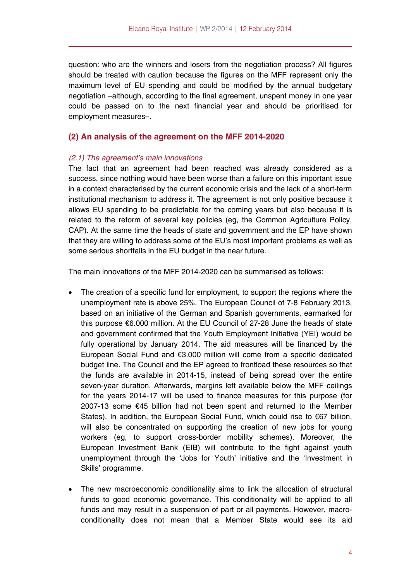question: who are the winners and losers from the negotiation process? All figures should be treated with caution because the figures on the MFF represent only the maximum level of EU spending and could be modified by the annual budgetary negotiation –although, according to the final agreement, unspent money in one year could be passed on to the next financial year and should be prioritised for employment measures–.

# **(2) An analysis of the agreement on the MFF 2014-2020**

#### *(2.1) The agreement's main innovations*

The fact that an agreement had been reached was already considered as a success, since nothing would have been worse than a failure on this important issue in a context characterised by the current economic crisis and the lack of a short-term institutional mechanism to address it. The agreement is not only positive because it allows EU spending to be predictable for the coming years but also because it is related to the reform of several key policies (eg, the Common Agriculture Policy, CAP). At the same time the heads of state and government and the EP have shown that they are willing to address some of the EU's most important problems as well as some serious shortfalls in the EU budget in the near future.

The main innovations of the MFF 2014-2020 can be summarised as follows:

- The creation of a specific fund for employment, to support the regions where the unemployment rate is above 25%. The European Council of 7-8 February 2013, based on an initiative of the German and Spanish governments, earmarked for this purpose €6.000 million. At the EU Council of 27-28 June the heads of state and government confirmed that the Youth Employment Initiative (YEI) would be fully operational by January 2014. The aid measures will be financed by the European Social Fund and €3.000 million will come from a specific dedicated budget line. The Council and the EP agreed to frontload these resources so that the funds are available in 2014-15, instead of being spread over the entire seven-year duration. Afterwards, margins left available below the MFF ceilings for the years 2014-17 will be used to finance measures for this purpose (for 2007-13 some €45 billion had not been spent and returned to the Member States). In addition, the European Social Fund, which could rise to €67 billion, will also be concentrated on supporting the creation of new jobs for young workers (eg, to support cross-border mobility schemes). Moreover, the European Investment Bank (EIB) will contribute to the fight against youth unemployment through the 'Jobs for Youth' initiative and the 'Investment in Skills' programme.
- The new macroeconomic conditionality aims to link the allocation of structural funds to good economic governance. This conditionality will be applied to all funds and may result in a suspension of part or all payments. However, macroconditionality does not mean that a Member State would see its aid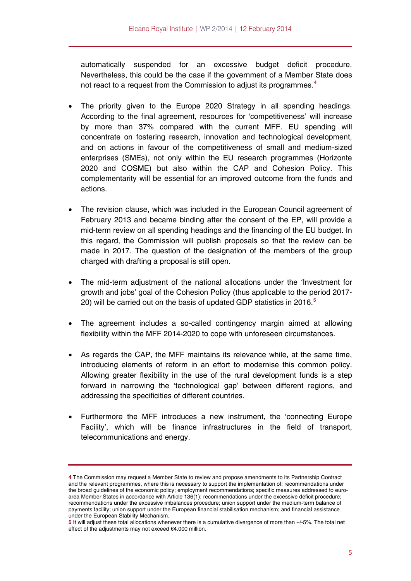automatically suspended for an excessive budget deficit procedure. Nevertheless, this could be the case if the government of a Member State does not react to a request from the Commission to adjust its programmes.**<sup>4</sup>**

- The priority given to the Europe 2020 Strategy in all spending headings. According to the final agreement, resources for 'competitiveness' will increase by more than 37% compared with the current MFF. EU spending will concentrate on fostering research, innovation and technological development, and on actions in favour of the competitiveness of small and medium-sized enterprises (SMEs), not only within the EU research programmes (Horizonte 2020 and COSME) but also within the CAP and Cohesion Policy. This complementarity will be essential for an improved outcome from the funds and actions.
- The revision clause, which was included in the European Council agreement of February 2013 and became binding after the consent of the EP, will provide a mid-term review on all spending headings and the financing of the EU budget. In this regard, the Commission will publish proposals so that the review can be made in 2017. The question of the designation of the members of the group charged with drafting a proposal is still open.
- The mid-term adjustment of the national allocations under the 'Investment for growth and jobs' goal of the Cohesion Policy (thus applicable to the period 2017- 20) will be carried out on the basis of updated GDP statistics in 2016.**[5](#page-4-0)**
- The agreement includes a so-called contingency margin aimed at allowing flexibility within the MFF 2014-2020 to cope with unforeseen circumstances.
- As regards the CAP, the MFF maintains its relevance while, at the same time, introducing elements of reform in an effort to modernise this common policy. Allowing greater flexibility in the use of the rural development funds is a step forward in narrowing the 'technological gap' between different regions, and addressing the specificities of different countries.
- Furthermore the MFF introduces a new instrument, the 'connecting Europe Facility', which will be finance infrastructures in the field of transport, telecommunications and energy.

**<sup>4</sup>** The Commission may request a Member State to review and propose amendments to its Partnership Contract and the relevant programmes, where this is necessary to support the implementation of: recommendations under the broad guidelines of the economic policy; employment recommendations; specific measures addressed to euroarea Member States in accordance with Article 136(1); recommendations under the excessive deficit procedure; recommendations under the excessive imbalances procedure; union support under the medium-term balance of payments facility; union support under the European financial stabilisation mechanism; and financial assistance under the European Stability Mechanism.

<span id="page-4-0"></span>**<sup>5</sup>** It will adjust these total allocations whenever there is a cumulative divergence of more than +/-5%. The total net effect of the adjustments may not exceed €4.000 million.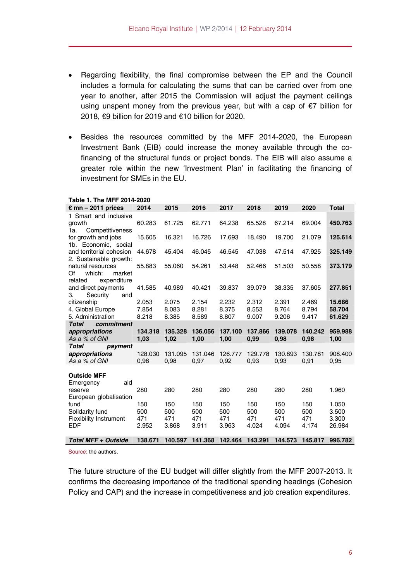- Regarding flexibility, the final compromise between the EP and the Council includes a formula for calculating the sums that can be carried over from one year to another, after 2015 the Commission will adjust the payment ceilings using unspent money from the previous year, but with a cap of €7 billion for 2018, €9 billion for 2019 and €10 billion for 2020.
- Besides the resources committed by the MFF 2014-2020, the European Investment Bank (EIB) could increase the money available through the cofinancing of the structural funds or project bonds. The EIB will also assume a greater role within the new 'Investment Plan' in facilitating the financing of investment for SMEs in the EU.

| Table 1. The MFF 2014-2020                                             |                            |                            |                            |                            |                            |                            |                            |                                   |
|------------------------------------------------------------------------|----------------------------|----------------------------|----------------------------|----------------------------|----------------------------|----------------------------|----------------------------|-----------------------------------|
| $\epsilon$ mn – 2011 prices                                            | 2014                       | 2015                       | 2016                       | 2017                       | 2018                       | 2019                       | 2020                       | <b>Total</b>                      |
| 1 Smart and inclusive<br>growth<br>Competitiveness<br>1а.              | 60.283                     | 61.725                     | 62.771                     | 64.238                     | 65.528                     | 67.214                     | 69.004                     | 450.763                           |
| for growth and jobs<br>1b. Economic, social                            | 15.605                     | 16.321                     | 16.726                     | 17.693                     | 18.490                     | 19.700                     | 21.079                     | 125.614                           |
| and territorial cohesion<br>2. Sustainable growth:                     | 44.678                     | 45.404                     | 46.045                     | 46.545                     | 47.038                     | 47.514                     | 47.925                     | 325.149                           |
| natural resources<br>which:<br>market<br>Of<br>related<br>expenditure  | 55.883                     | 55.060                     | 54.261                     | 53.448                     | 52.466                     | 51.503                     | 50.558                     | 373.179                           |
| and direct payments<br>З.<br>Security<br>and                           | 41.585                     | 40.989                     | 40.421                     | 39.837                     | 39.079                     | 38.335                     | 37.605                     | 277.851                           |
| citizenship<br>4. Global Europe<br>5. Administration                   | 2.053<br>7.854<br>8.218    | 2.075<br>8.083<br>8.385    | 2.154<br>8.281<br>8.589    | 2.232<br>8.375<br>8.807    | 2.312<br>8.553<br>9.007    | 2.391<br>8.764<br>9.206    | 2.469<br>8.794<br>9.417    | 15.686<br>58.704<br>61.629        |
| <b>Total</b><br>commitment<br>appropriations<br>As a % of GNI          | 134.318<br>1,03            | 135.328<br>1,02            | 136.056<br>1,00            | 137.100<br>1,00            | 137.866<br>0,99            | 139.078<br>0,98            | 140.242<br>0,98            | 959.988<br>1,00                   |
| <b>Total</b><br>payment<br>appropriations<br>As a % of GNI             | 128,030<br>0,98            | 131.095<br>0,98            | 131.046<br>0,97            | 126.777<br>0,92            | 129.778<br>0,93            | 130.893<br>0,93            | 130.781<br>0,91            | 908.400<br>0,95                   |
| <b>Outside MFF</b><br>aid<br>Emergency                                 |                            |                            |                            |                            |                            |                            |                            |                                   |
| reserve<br>European globalisation                                      | 280                        | 280                        | 280                        | 280                        | 280                        | 280                        | 280                        | 1.960                             |
| fund<br>Solidarity fund<br><b>Flexibility Instrument</b><br><b>EDF</b> | 150<br>500<br>471<br>2.952 | 150<br>500<br>471<br>3.868 | 150<br>500<br>471<br>3.911 | 150<br>500<br>471<br>3.963 | 150<br>500<br>471<br>4.024 | 150<br>500<br>471<br>4.094 | 150<br>500<br>471<br>4.174 | 1.050<br>3.500<br>3.300<br>26.984 |
| <b>Total MFF + Outside</b>                                             | 138.671                    | 140.597                    | 141.368                    | 142.464                    | 143.291                    | 144.573                    | 145.817                    | 996.782                           |

Source: the authors.

The future structure of the EU budget will differ slightly from the MFF 2007-2013. It confirms the decreasing importance of the traditional spending headings (Cohesion Policy and CAP) and the increase in competitiveness and job creation expenditures.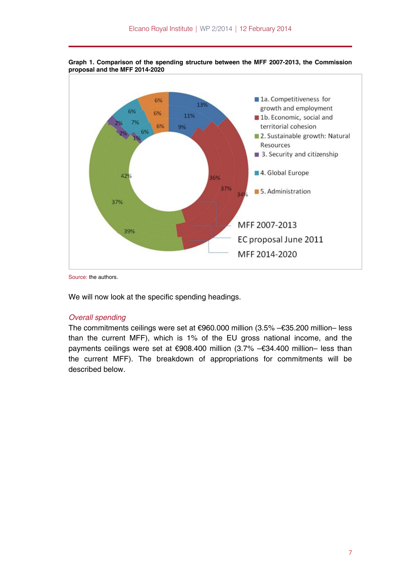

**Graph 1. Comparison of the spending structure between the MFF 2007-2013, the Commission proposal and the MFF 2014-2020** 

Source: the authors.

We will now look at the specific spending headings.

#### *Overall spending*

The commitments ceilings were set at €960.000 million (3.5% –€35.200 million– less than the current MFF), which is 1% of the EU gross national income, and the payments ceilings were set at €908.400 million (3.7% –€34.400 million– less than the current MFF). The breakdown of appropriations for commitments will be described below.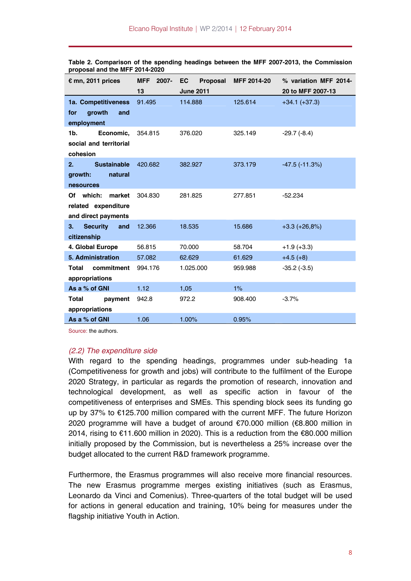| $\epsilon$ mn, 2011 prices                                        | MFF 2007- | EC<br>Proposal   | MFF 2014-20 | % variation MFF 2014- |
|-------------------------------------------------------------------|-----------|------------------|-------------|-----------------------|
|                                                                   | 13        | <b>June 2011</b> |             | 20 to MFF 2007-13     |
| 1a. Competitiveness<br>growth<br>and<br>for<br>employment         | 91.495    | 114.888          | 125.614     | $+34.1 (+37.3)$       |
| 1b.<br>Economic,<br>social and territorial<br>cohesion            | 354,815   | 376.020          | 325.149     | $-29.7(-8.4)$         |
| <b>Sustainable</b><br>2.<br>natural<br>growth:<br>nesources       | 420.682   | 382.927          | 373.179     | $-47.5$ $(-11.3%)$    |
| Of which:<br>market<br>related expenditure<br>and direct payments | 304.830   | 281.825          | 277.851     | $-52.234$             |
| <b>Security</b><br>3.<br>and<br>citizenship                       | 12.366    | 18.535           | 15.686      | $+3.3 (+26.8%)$       |
| 4. Global Europe                                                  | 56.815    | 70.000           | 58.704      | $+1.9(+3.3)$          |
| <b>5. Administration</b>                                          | 57.082    | 62.629           | 61.629      | $+4.5(+8)$            |
| commitment<br>Total<br>appropriations                             | 994.176   | 1.025.000        | 959.988     | $-35.2$ ( $-3.5$ )    |
| As a % of GNI                                                     | 1.12      | 1,05             | 1%          |                       |
| Total<br>payment<br>appropriations                                | 942.8     | 972.2            | 908.400     | $-3.7%$               |
| As a % of GNI                                                     | 1.06      | 1.00%            | 0.95%       |                       |

**Table 2. Comparison of the spending headings between the MFF 2007-2013, the Commission proposal and the MFF 2014-2020** 

Source: the authors.

#### *(2.2) The expenditure side*

With regard to the spending headings, programmes under sub-heading 1a (Competitiveness for growth and jobs) will contribute to the fulfilment of the Europe 2020 Strategy, in particular as regards the promotion of research, innovation and technological development, as well as specific action in favour of the competitiveness of enterprises and SMEs. This spending block sees its funding go up by 37% to €125.700 million compared with the current MFF. The future Horizon 2020 programme will have a budget of around €70.000 million (€8.800 million in 2014, rising to €11.600 million in 2020). This is a reduction from the €80.000 million initially proposed by the Commission, but is nevertheless a 25% increase over the budget allocated to the current R&D framework programme.

Furthermore, the Erasmus programmes will also receive more financial resources. The new Erasmus programme merges existing initiatives (such as Erasmus, Leonardo da Vinci and Comenius). Three-quarters of the total budget will be used for actions in general education and training, 10% being for measures under the flagship initiative Youth in Action.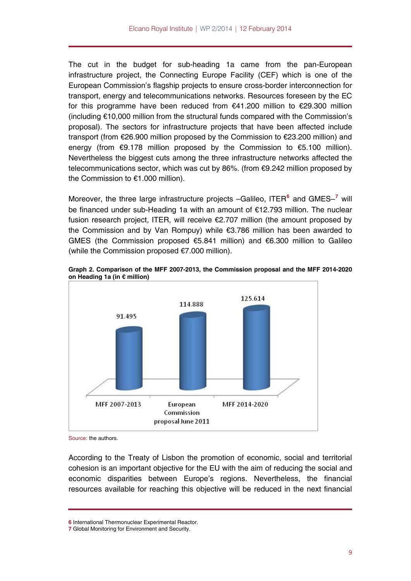The cut in the budget for sub-heading 1a came from the pan-European infrastructure project, the Connecting Europe Facility (CEF) which is one of the European Commission's flagship projects to ensure cross-border interconnection for transport, energy and telecommunications networks. Resources foreseen by the EC for this programme have been reduced from €41.200 million to €29.300 million (including €10,000 million from the structural funds compared with the Commission's proposal). The sectors for infrastructure projects that have been affected include transport (from €26.900 million proposed by the Commission to €23.200 million) and energy (from €9.178 million proposed by the Commission to €5.100 million). Nevertheless the biggest cuts among the three infrastructure networks affected the telecommunications sector, which was cut by 86%. (from €9.242 million proposed by the Commission to €1.000 million).

Moreover, the three large infrastructure projects –Galileo, ITER**[6](#page-8-0)** and GMES–**[7](#page-8-1)** will be financed under sub-Heading 1a with an amount of €12.793 million. The nuclear fusion research project, ITER, will receive €2.707 million (the amount proposed by the Commission and by Van Rompuy) while €3.786 million has been awarded to GMES (the Commission proposed €5.841 million) and €6.300 million to Galileo (while the Commission proposed €7.000 million).



**Graph 2. Comparison of the MFF 2007-2013, the Commission proposal and the MFF 2014-2020 on Heading 1a (in € million)** 

Source: the authors.

According to the Treaty of Lisbon the promotion of economic, social and territorial cohesion is an important objective for the EU with the aim of reducing the social and economic disparities between Europe's regions. Nevertheless, the financial resources available for reaching this objective will be reduced in the next financial

**<sup>6</sup>** International Thermonuclear Experimental Reactor.

<span id="page-8-1"></span><span id="page-8-0"></span>**<sup>7</sup>** Global Monitoring for Environment and Security.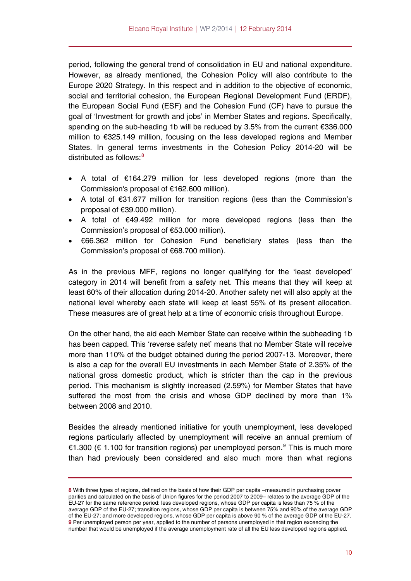period, following the general trend of consolidation in EU and national expenditure. However, as already mentioned, the Cohesion Policy will also contribute to the Europe 2020 Strategy. In this respect and in addition to the objective of economic, social and territorial cohesion, the European Regional Development Fund (ERDF), the European Social Fund (ESF) and the Cohesion Fund (CF) have to pursue the goal of 'Investment for growth and jobs' in Member States and regions. Specifically, spending on the sub-heading 1b will be reduced by 3.5% from the current €336.000 million to €325.149 million, focusing on the less developed regions and Member States. In general terms investments in the Cohesion Policy 2014-20 will be distributed as follows: $8<sup>8</sup>$  $8<sup>8</sup>$ 

- A total of €164.279 million for less developed regions (more than the Commission's proposal of €162.600 million).
- A total of €31.677 million for transition regions (less than the Commission's proposal of €39.000 million).
- A total of €49.492 million for more developed regions (less than the Commission's proposal of €53.000 million).
- €66.362 million for Cohesion Fund beneficiary states (less than the Commission's proposal of €68.700 million).

As in the previous MFF, regions no longer qualifying for the 'least developed' category in 2014 will benefit from a safety net. This means that they will keep at least 60% of their allocation during 2014-20. Another safety net will also apply at the national level whereby each state will keep at least 55% of its present allocation. These measures are of great help at a time of economic crisis throughout Europe.

On the other hand, the aid each Member State can receive within the subheading 1b has been capped. This 'reverse safety net' means that no Member State will receive more than 110% of the budget obtained during the period 2007-13. Moreover, there is also a cap for the overall EU investments in each Member State of 2.35% of the national gross domestic product, which is stricter than the cap in the previous period. This mechanism is slightly increased (2.59%) for Member States that have suffered the most from the crisis and whose GDP declined by more than 1% between 2008 and 2010.

Besides the already mentioned initiative for youth unemployment, less developed regions particularly affected by unemployment will receive an annual premium of €1.300 (€ 1.100 for transition regions) per unemployed person.<sup>[9](#page-9-1)</sup> This is much more than had previously been considered and also much more than what regions

<span id="page-9-1"></span><span id="page-9-0"></span>**<sup>8</sup>** With three types of regions, defined on the basis of how their GDP per capita –measured in purchasing power parities and calculated on the basis of Union figures for the period 2007 to 2009– relates to the average GDP of the EU-27 for the same reference period: less developed regions, whose GDP per capita is less than 75 % of the average GDP of the EU-27; transition regions, whose GDP per capita is between 75% and 90% of the average GDP of the EU-27; and more developed regions, whose GDP per capita is above 90 % of the average GDP of the EU-27. **9** Per unemployed person per year, applied to the number of persons unemployed in that region exceeding the number that would be unemployed if the average unemployment rate of all the EU less developed regions applied.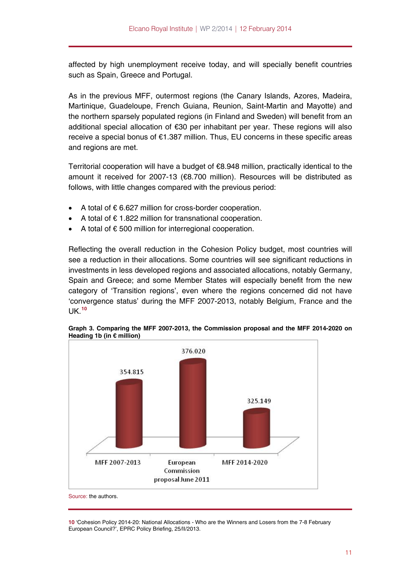affected by high unemployment receive today, and will specially benefit countries such as Spain, Greece and Portugal.

As in the previous MFF, outermost regions (the Canary Islands, Azores, Madeira, Martinique, Guadeloupe, French Guiana, Reunion, Saint-Martin and Mayotte) and the northern sparsely populated regions (in Finland and Sweden) will benefit from an additional special allocation of €30 per inhabitant per year. These regions will also receive a special bonus of €1.387 million. Thus, EU concerns in these specific areas and regions are met.

Territorial cooperation will have a budget of €8.948 million, practically identical to the amount it received for 2007-13 (€8.700 million). Resources will be distributed as follows, with little changes compared with the previous period:

- A total of € 6.627 million for cross-border cooperation.
- A total of € 1.822 million for transnational cooperation.
- A total of € 500 million for interregional cooperation.

Reflecting the overall reduction in the Cohesion Policy budget, most countries will see a reduction in their allocations. Some countries will see significant reductions in investments in less developed regions and associated allocations, notably Germany, Spain and Greece; and some Member States will especially benefit from the new category of 'Transition regions', even where the regions concerned did not have 'convergence status' during the MFF 2007-2013, notably Belgium, France and the UK.**[10](#page-10-0)**



**Graph 3. Comparing the MFF 2007-2013, the Commission proposal and the MFF 2014-2020 on Heading 1b (in € million)** 

Source: the authors.

<span id="page-10-0"></span>**10** 'Cohesion Policy 2014-20: National Allocations - Who are the Winners and Losers from the 7-8 February European Council?', EPRC Policy Briefing, 25/II/2013.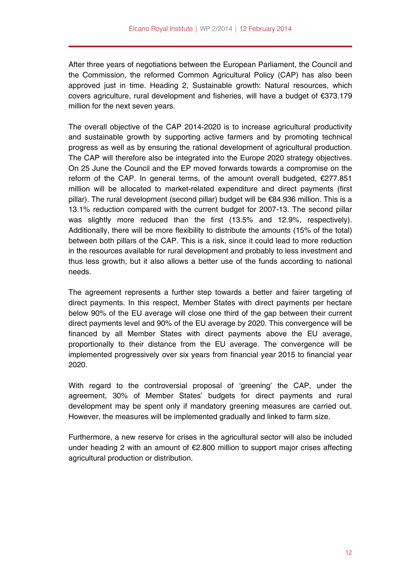After three years of negotiations between the European Parliament, the Council and the Commission, the reformed Common Agricultural Policy (CAP) has also been approved just in time. Heading 2, Sustainable growth: Natural resources, which covers agriculture, rural development and fisheries, will have a budget of €373.179 million for the next seven years.

The overall objective of the CAP 2014-2020 is to increase agricultural productivity and sustainable growth by supporting active farmers and by promoting technical progress as well as by ensuring the rational development of agricultural production. The CAP will therefore also be integrated into the Europe 2020 strategy objectives. On 25 June the Council and the EP moved forwards towards a compromise on the reform of the CAP. In general terms, of the amount overall budgeted, €277.851 million will be allocated to market-related expenditure and direct payments (first pillar). The rural development (second pillar) budget will be €84.936 million. This is a 13.1% reduction compared with the current budget for 2007-13. The second pillar was slightly more reduced than the first (13.5% and 12.9%, respectively). Additionally, there will be more flexibility to distribute the amounts (15% of the total) between both pillars of the CAP. This is a risk, since it could lead to more reduction in the resources available for rural development and probably to less investment and thus less growth, but it also allows a better use of the funds according to national needs.

The agreement represents a further step towards a better and fairer targeting of direct payments. In this respect, Member States with direct payments per hectare below 90% of the EU average will close one third of the gap between their current direct payments level and 90% of the EU average by 2020. This convergence will be financed by all Member States with direct payments above the EU average, proportionally to their distance from the EU average. The convergence will be implemented progressively over six years from financial year 2015 to financial year 2020.

With regard to the controversial proposal of 'greening' the CAP, under the agreement, 30% of Member States' budgets for direct payments and rural development may be spent only if mandatory greening measures are carried out. However, the measures will be implemented gradually and linked to farm size.

Furthermore, a new reserve for crises in the agricultural sector will also be included under heading 2 with an amount of €2.800 million to support major crises affecting agricultural production or distribution.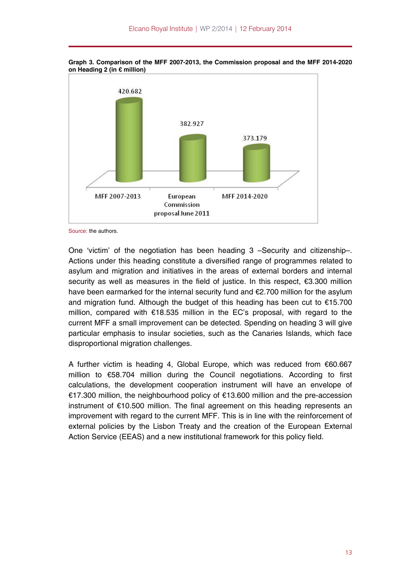

**Graph 3. Comparison of the MFF 2007-2013, the Commission proposal and the MFF 2014-2020 on Heading 2 (in € million)** 

Source: the authors.

One 'victim' of the negotiation has been heading 3 –Security and citizenship–. Actions under this heading constitute a diversified range of programmes related to asylum and migration and initiatives in the areas of external borders and internal security as well as measures in the field of justice. In this respect, €3.300 million have been earmarked for the internal security fund and €2.700 million for the asylum and migration fund. Although the budget of this heading has been cut to €15.700 million, compared with €18.535 million in the EC's proposal, with regard to the current MFF a small improvement can be detected. Spending on heading 3 will give particular emphasis to insular societies, such as the Canaries Islands, which face disproportional migration challenges.

A further victim is heading 4, Global Europe, which was reduced from €60.667 million to €58.704 million during the Council negotiations. According to first calculations, the development cooperation instrument will have an envelope of €17.300 million, the neighbourhood policy of €13.600 million and the pre-accession instrument of €10.500 million. The final agreement on this heading represents an improvement with regard to the current MFF. This is in line with the reinforcement of external policies by the Lisbon Treaty and the creation of the European External Action Service (EEAS) and a new institutional framework for this policy field.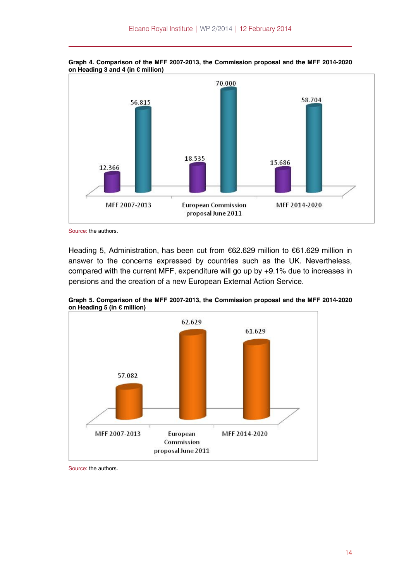

**Graph 4. Comparison of the MFF 2007-2013, the Commission proposal and the MFF 2014-2020 on Heading 3 and 4 (in € million)** 

Source: the authors.

Heading 5, Administration, has been cut from €62.629 million to €61.629 million in answer to the concerns expressed by countries such as the UK. Nevertheless, compared with the current MFF, expenditure will go up by +9.1% due to increases in pensions and the creation of a new European External Action Service.



**Graph 5. Comparison of the MFF 2007-2013, the Commission proposal and the MFF 2014-2020 on Heading 5 (in € million)** 

Source: the authors.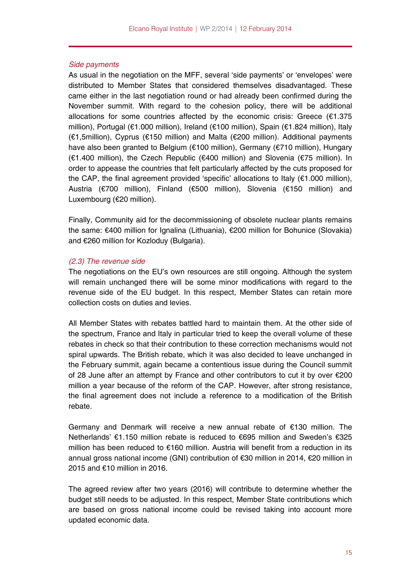#### *Side payments*

As usual in the negotiation on the MFF, several 'side payments' or 'envelopes' were distributed to Member States that considered themselves disadvantaged. These came either in the last negotiation round or had already been confirmed during the November summit. With regard to the cohesion policy, there will be additional allocations for some countries affected by the economic crisis: Greece  $(E1.375)$ million), Portugal (€1.000 million), Ireland (€100 million), Spain (€1.824 million), Italy (€1,5million), Cyprus (€150 million) and Malta (€200 million). Additional payments have also been granted to Belgium (€100 million), Germany (€710 million), Hungary (€1.400 million), the Czech Republic (€400 million) and Slovenia (€75 million). In order to appease the countries that felt particularly affected by the cuts proposed for the CAP, the final agreement provided 'specific' allocations to Italy  $(\epsilon 1.000$  million), Austria (€700 million), Finland (€500 million), Slovenia (€150 million) and Luxembourg (€20 million).

Finally, Community aid for the decommissioning of obsolete nuclear plants remains the same: €400 million for Ignalina (Lithuania), €200 million for Bohunice (Slovakia) and €260 million for Kozloduy (Bulgaria).

# *(2.3) The revenue side*

The negotiations on the EU's own resources are still ongoing. Although the system will remain unchanged there will be some minor modifications with regard to the revenue side of the EU budget. In this respect, Member States can retain more collection costs on duties and levies.

All Member States with rebates battled hard to maintain them. At the other side of the spectrum, France and Italy in particular tried to keep the overall volume of these rebates in check so that their contribution to these correction mechanisms would not spiral upwards. The British rebate, which it was also decided to leave unchanged in the February summit, again became a contentious issue during the Council summit of 28 June after an attempt by France and other contributors to cut it by over €200 million a year because of the reform of the CAP. However, after strong resistance, the final agreement does not include a reference to a modification of the British rebate.

Germany and Denmark will receive a new annual rebate of €130 million. The Netherlands' €1.150 million rebate is reduced to €695 million and Sweden's €325 million has been reduced to €160 million. Austria will benefit from a reduction in its annual gross national income (GNI) contribution of €30 million in 2014, €20 million in 2015 and €10 million in 2016.

The agreed review after two years (2016) will contribute to determine whether the budget still needs to be adjusted. In this respect, Member State contributions which are based on gross national income could be revised taking into account more updated economic data.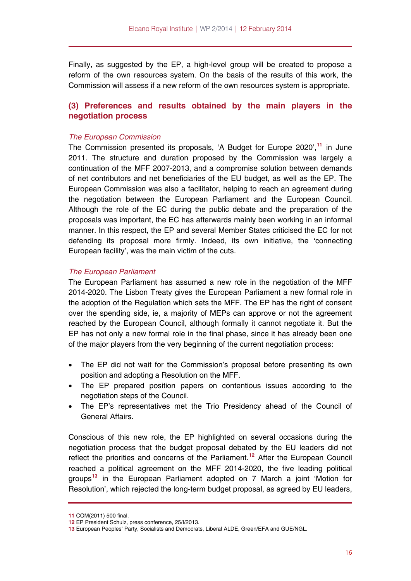Finally, as suggested by the EP, a high-level group will be created to propose a reform of the own resources system. On the basis of the results of this work, the Commission will assess if a new reform of the own resources system is appropriate.

# **(3) Preferences and results obtained by the main players in the negotiation process**

# *The European Commission*

The Commission presented its proposals, 'A Budget for Europe 2020',**[11](#page-15-0)** in June 2011. The structure and duration proposed by the Commission was largely a continuation of the MFF 2007-2013, and a compromise solution between demands of net contributors and net beneficiaries of the EU budget, as well as the EP. The European Commission was also a facilitator, helping to reach an agreement during the negotiation between the European Parliament and the European Council. Although the role of the EC during the public debate and the preparation of the proposals was important, the EC has afterwards mainly been working in an informal manner. In this respect, the EP and several Member States criticised the EC for not defending its proposal more firmly. Indeed, its own initiative, the 'connecting European facility', was the main victim of the cuts.

# *The European Parliament*

The European Parliament has assumed a new role in the negotiation of the MFF 2014-2020. The Lisbon Treaty gives the European Parliament a new formal role in the adoption of the Regulation which sets the MFF. The EP has the right of consent over the spending side, ie, a majority of MEPs can approve or not the agreement reached by the European Council, although formally it cannot negotiate it. But the EP has not only a new formal role in the final phase, since it has already been one of the major players from the very beginning of the current negotiation process:

- The EP did not wait for the Commission's proposal before presenting its own position and adopting a Resolution on the MFF.
- The EP prepared position papers on contentious issues according to the negotiation steps of the Council.
- The EP's representatives met the Trio Presidency ahead of the Council of General Affairs.

Conscious of this new role, the EP highlighted on several occasions during the negotiation process that the budget proposal debated by the EU leaders did not reflect the priorities and concerns of the Parliament.**[12](#page-15-1)** After the European Council reached a political agreement on the MFF 2014-2020, the five leading political groups**[13](#page-15-2)** in the European Parliament adopted on 7 March a joint 'Motion for Resolution', which rejected the long-term budget proposal, as agreed by EU leaders,

<span id="page-15-0"></span>**<sup>11</sup>** COM(2011) 500 final.

<span id="page-15-1"></span>**<sup>12</sup>** EP President Schulz, press conference, 25/I/2013.

<span id="page-15-2"></span>**<sup>13</sup>** European Peoples' Party, Socialists and Democrats, Liberal ALDE, Green/EFA and GUE/NGL.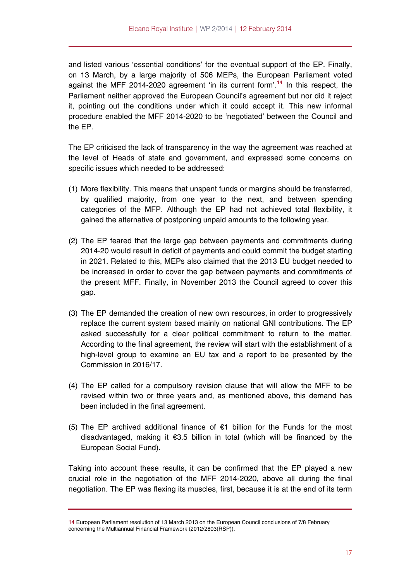and listed various 'essential conditions' for the eventual support of the EP. Finally, on 13 March, by a large majority of 506 MEPs, the European Parliament voted against the MFF 2014-2020 agreement 'in its current form'.**[14](#page-16-0)** In this respect, the Parliament neither approved the European Council's agreement but nor did it reject it, pointing out the conditions under which it could accept it. This new informal procedure enabled the MFF 2014-2020 to be 'negotiated' between the Council and the EP.

The EP criticised the lack of transparency in the way the agreement was reached at the level of Heads of state and government, and expressed some concerns on specific issues which needed to be addressed:

- (1) More flexibility. This means that unspent funds or margins should be transferred, by qualified majority, from one year to the next, and between spending categories of the MFP. Although the EP had not achieved total flexibility, it gained the alternative of postponing unpaid amounts to the following year.
- (2) The EP feared that the large gap between payments and commitments during 2014-20 would result in deficit of payments and could commit the budget starting in 2021. Related to this, MEPs also claimed that the 2013 EU budget needed to be increased in order to cover the gap between payments and commitments of the present MFF. Finally, in November 2013 the Council agreed to cover this gap.
- (3) The EP demanded the creation of new own resources, in order to progressively replace the current system based mainly on national GNI contributions. The EP asked successfully for a clear political commitment to return to the matter. According to the final agreement, the review will start with the establishment of a high-level group to examine an EU tax and a report to be presented by the Commission in 2016/17.
- (4) The EP called for a compulsory revision clause that will allow the MFF to be revised within two or three years and, as mentioned above, this demand has been included in the final agreement.
- (5) The EP archived additional finance of €1 billion for the Funds for the most disadvantaged, making it  $\epsilon$ 3.5 billion in total (which will be financed by the European Social Fund).

Taking into account these results, it can be confirmed that the EP played a new crucial role in the negotiation of the MFF 2014-2020, above all during the final negotiation. The EP was flexing its muscles, first, because it is at the end of its term

<span id="page-16-0"></span>**<sup>14</sup>** European Parliament resolution of 13 March 2013 on the European Council conclusions of 7/8 February concerning the Multiannual Financial Framework (2012/2803(RSP)).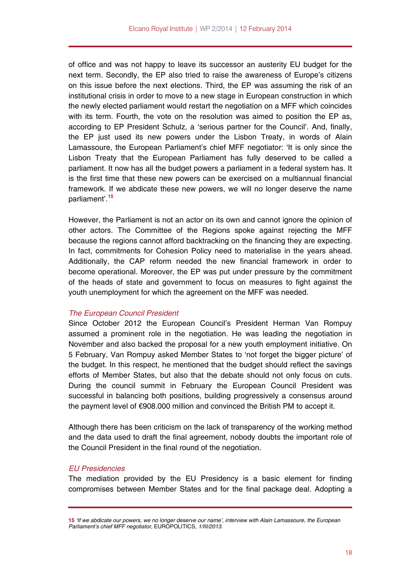of office and was not happy to leave its successor an austerity EU budget for the next term. Secondly, the EP also tried to raise the awareness of Europe's citizens on this issue before the next elections. Third, the EP was assuming the risk of an institutional crisis in order to move to a new stage in European construction in which the newly elected parliament would restart the negotiation on a MFF which coincides with its term. Fourth, the vote on the resolution was aimed to position the EP as, according to EP President Schulz, a 'serious partner for the Council'. And, finally, the EP just used its new powers under the Lisbon Treaty, in words of Alain Lamassoure, the European Parliament's chief MFF negotiator: 'It is only since the Lisbon Treaty that the European Parliament has fully deserved to be called a parliament. It now has all the budget powers a parliament in a federal system has. It is the first time that these new powers can be exercised on a multiannual financial framework. If we abdicate these new powers, we will no longer deserve the name parliament'.**[15](#page-17-0)**

However, the Parliament is not an actor on its own and cannot ignore the opinion of other actors. The Committee of the Regions spoke against rejecting the MFF because the regions cannot afford backtracking on the financing they are expecting. In fact, commitments for Cohesion Policy need to materialise in the years ahead. Additionally, the CAP reform needed the new financial framework in order to become operational. Moreover, the EP was put under pressure by the commitment of the heads of state and government to focus on measures to fight against the youth unemployment for which the agreement on the MFF was needed.

#### *The European Council President*

Since October 2012 the European Council's President Herman Van Rompuy assumed a prominent role in the negotiation. He was leading the negotiation in November and also backed the proposal for a new youth employment initiative. On 5 February, Van Rompuy asked Member States to 'not forget the bigger picture' of the budget. In this respect, he mentioned that the budget should reflect the savings efforts of Member States, but also that the debate should not only focus on cuts. During the council summit in February the European Council President was successful in balancing both positions, building progressively a consensus around the payment level of €908.000 million and convinced the British PM to accept it.

Although there has been criticism on the lack of transparency of the working method and the data used to draft the final agreement, nobody doubts the important role of the Council President in the final round of the negotiation.

#### *EU Presidencies*

The mediation provided by the EU Presidency is a basic element for finding compromises between Member States and for the final package deal. Adopting a

<span id="page-17-0"></span>**<sup>15</sup>** *'If we abdicate our powers, we no longer deserve our name', interview with Alain Lamassoure, the European Parliament's chief MFF negotiator,* EUROPOLITICS*, 1/III/2013.*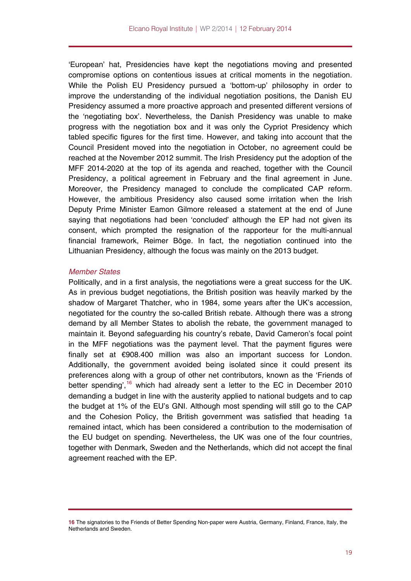'European' hat, Presidencies have kept the negotiations moving and presented compromise options on contentious issues at critical moments in the negotiation. While the Polish EU Presidency pursued a 'bottom-up' philosophy in order to improve the understanding of the individual negotiation positions, the Danish EU Presidency assumed a more proactive approach and presented different versions of the 'negotiating box'. Nevertheless, the Danish Presidency was unable to make progress with the negotiation box and it was only the Cypriot Presidency which tabled specific figures for the first time. However, and taking into account that the Council President moved into the negotiation in October, no agreement could be reached at the November 2012 summit. The Irish Presidency put the adoption of the MFF 2014-2020 at the top of its agenda and reached, together with the Council Presidency, a political agreement in February and the final agreement in June. Moreover, the Presidency managed to conclude the complicated CAP reform. However, the ambitious Presidency also caused some irritation when the Irish Deputy Prime Minister Eamon Gilmore released a statement at the end of June saying that negotiations had been 'concluded' although the EP had not given its consent, which prompted the resignation of the rapporteur for the multi-annual financial framework, Reimer Böge. In fact, the negotiation continued into the Lithuanian Presidency, although the focus was mainly on the 2013 budget.

# *Member States*

Politically, and in a first analysis, the negotiations were a great success for the UK. As in previous budget negotiations, the British position was heavily marked by the shadow of Margaret Thatcher, who in 1984, some years after the UK's accession, negotiated for the country the so-called British rebate. Although there was a strong demand by all Member States to abolish the rebate, the government managed to maintain it. Beyond safeguarding his country's rebate, David Cameron's focal point in the MFF negotiations was the payment level. That the payment figures were finally set at €908.400 million was also an important success for London. Additionally, the government avoided being isolated since it could present its preferences along with a group of other net contributors, known as the 'Friends of better spending',  $16$  which had already sent a letter to the EC in December 2010 demanding a budget in line with the austerity applied to national budgets and to cap the budget at 1% of the EU's GNI. Although most spending will still go to the CAP and the Cohesion Policy, the British government was satisfied that heading 1a remained intact, which has been considered a contribution to the modernisation of the EU budget on spending. Nevertheless, the UK was one of the four countries, together with Denmark, Sweden and the Netherlands, which did not accept the final agreement reached with the EP.

<span id="page-18-0"></span>**<sup>16</sup>** The signatories to the Friends of Better Spending Non-paper were Austria, Germany, Finland, France, Italy, the Netherlands and Sweden.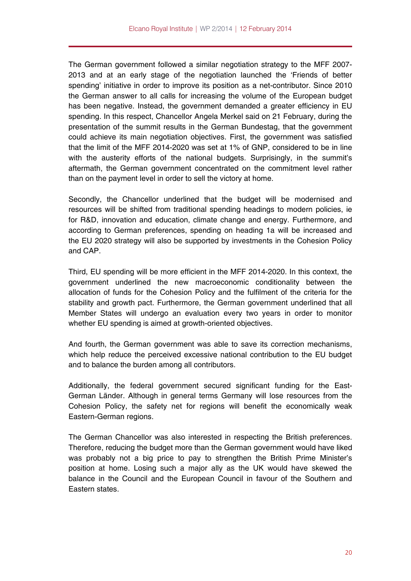The German government followed a similar negotiation strategy to the MFF 2007- 2013 and at an early stage of the negotiation launched the 'Friends of better spending' initiative in order to improve its position as a net-contributor. Since 2010 the German answer to all calls for increasing the volume of the European budget has been negative. Instead, the government demanded a greater efficiency in EU spending. In this respect, Chancellor Angela Merkel said on 21 February, during the presentation of the summit results in the German Bundestag, that the government could achieve its main negotiation objectives. First, the government was satisfied that the limit of the MFF 2014-2020 was set at 1% of GNP, considered to be in line with the austerity efforts of the national budgets. Surprisingly, in the summit's aftermath, the German government concentrated on the commitment level rather than on the payment level in order to sell the victory at home.

Secondly, the Chancellor underlined that the budget will be modernised and resources will be shifted from traditional spending headings to modern policies, ie for R&D, innovation and education, climate change and energy. Furthermore, and according to German preferences, spending on heading 1a will be increased and the EU 2020 strategy will also be supported by investments in the Cohesion Policy and CAP.

Third, EU spending will be more efficient in the MFF 2014-2020. In this context, the government underlined the new macroeconomic conditionality between the allocation of funds for the Cohesion Policy and the fulfilment of the criteria for the stability and growth pact. Furthermore, the German government underlined that all Member States will undergo an evaluation every two years in order to monitor whether EU spending is aimed at growth-oriented objectives.

And fourth, the German government was able to save its correction mechanisms, which help reduce the perceived excessive national contribution to the EU budget and to balance the burden among all contributors.

Additionally, the federal government secured significant funding for the East-German Länder. Although in general terms Germany will lose resources from the Cohesion Policy, the safety net for regions will benefit the economically weak Eastern-German regions.

The German Chancellor was also interested in respecting the British preferences. Therefore, reducing the budget more than the German government would have liked was probably not a big price to pay to strengthen the British Prime Minister's position at home. Losing such a major ally as the UK would have skewed the balance in the Council and the European Council in favour of the Southern and Eastern states.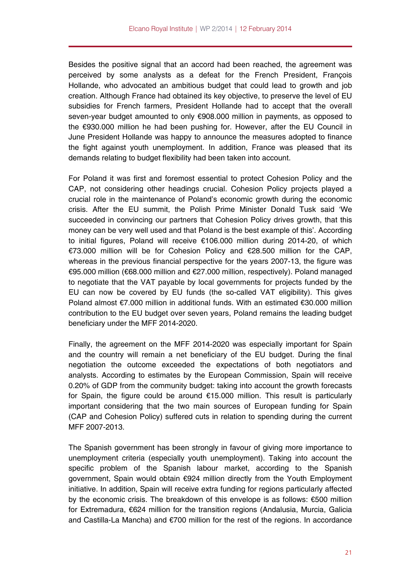Besides the positive signal that an accord had been reached, the agreement was perceived by some analysts as a defeat for the French President, François Hollande, who advocated an ambitious budget that could lead to growth and job creation. Although France had obtained its key objective, to preserve the level of EU subsidies for French farmers, President Hollande had to accept that the overall seven-year budget amounted to only €908.000 million in payments, as opposed to the €930.000 million he had been pushing for. However, after the EU Council in June President Hollande was happy to announce the measures adopted to finance the fight against youth unemployment. In addition, France was pleased that its demands relating to budget flexibility had been taken into account.

For Poland it was first and foremost essential to protect Cohesion Policy and the CAP, not considering other headings crucial. Cohesion Policy projects played a crucial role in the maintenance of Poland's economic growth during the economic crisis. After the EU summit, the Polish Prime Minister Donald Tusk said 'We succeeded in convincing our partners that Cohesion Policy drives growth, that this money can be very well used and that Poland is the best example of this'. According to initial figures, Poland will receive €106.000 million during 2014-20, of which €73.000 million will be for Cohesion Policy and €28.500 million for the CAP, whereas in the previous financial perspective for the years 2007-13, the figure was €95.000 million (€68.000 million and €27.000 million, respectively). Poland managed to negotiate that the VAT payable by local governments for projects funded by the EU can now be covered by EU funds (the so-called VAT eligibility). This gives Poland almost €7.000 million in additional funds. With an estimated €30.000 million contribution to the EU budget over seven years, Poland remains the leading budget beneficiary under the MFF 2014-2020.

Finally, the agreement on the MFF 2014-2020 was especially important for Spain and the country will remain a net beneficiary of the EU budget. During the final negotiation the outcome exceeded the expectations of both negotiators and analysts. According to estimates by the European Commission, Spain will receive 0.20% of GDP from the community budget: taking into account the growth forecasts for Spain, the figure could be around €15.000 million. This result is particularly important considering that the two main sources of European funding for Spain (CAP and Cohesion Policy) suffered cuts in relation to spending during the current MFF 2007-2013.

The Spanish government has been strongly in favour of giving more importance to unemployment criteria (especially youth unemployment). Taking into account the specific problem of the Spanish labour market, according to the Spanish government, Spain would obtain €924 million directly from the Youth Employment initiative. In addition, Spain will receive extra funding for regions particularly affected by the economic crisis. The breakdown of this envelope is as follows: €500 million for Extremadura, €624 million for the transition regions (Andalusia, Murcia, Galicia and Castilla-La Mancha) and €700 million for the rest of the regions. In accordance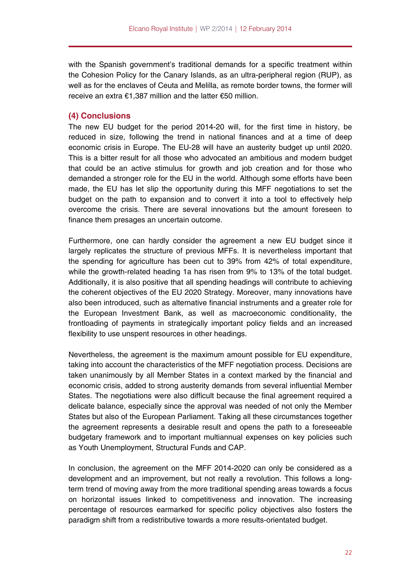with the Spanish government's traditional demands for a specific treatment within the Cohesion Policy for the Canary Islands, as an ultra-peripheral region (RUP), as well as for the enclaves of Ceuta and Melilla, as remote border towns, the former will receive an extra €1,387 million and the latter €50 million.

# **(4) Conclusions**

The new EU budget for the period 2014-20 will, for the first time in history, be reduced in size, following the trend in national finances and at a time of deep economic crisis in Europe. The EU-28 will have an austerity budget up until 2020. This is a bitter result for all those who advocated an ambitious and modern budget that could be an active stimulus for growth and job creation and for those who demanded a stronger role for the EU in the world. Although some efforts have been made, the EU has let slip the opportunity during this MFF negotiations to set the budget on the path to expansion and to convert it into a tool to effectively help overcome the crisis. There are several innovations but the amount foreseen to finance them presages an uncertain outcome.

Furthermore, one can hardly consider the agreement a new EU budget since it largely replicates the structure of previous MFFs. It is nevertheless important that the spending for agriculture has been cut to 39% from 42% of total expenditure, while the growth-related heading 1a has risen from 9% to 13% of the total budget. Additionally, it is also positive that all spending headings will contribute to achieving the coherent objectives of the EU 2020 Strategy. Moreover, many innovations have also been introduced, such as alternative financial instruments and a greater role for the European Investment Bank, as well as macroeconomic conditionality, the frontloading of payments in strategically important policy fields and an increased flexibility to use unspent resources in other headings.

Nevertheless, the agreement is the maximum amount possible for EU expenditure, taking into account the characteristics of the MFF negotiation process. Decisions are taken unanimously by all Member States in a context marked by the financial and economic crisis, added to strong austerity demands from several influential Member States. The negotiations were also difficult because the final agreement required a delicate balance, especially since the approval was needed of not only the Member States but also of the European Parliament. Taking all these circumstances together the agreement represents a desirable result and opens the path to a foreseeable budgetary framework and to important multiannual expenses on key policies such as Youth Unemployment, Structural Funds and CAP.

In conclusion, the agreement on the MFF 2014-2020 can only be considered as a development and an improvement, but not really a revolution. This follows a longterm trend of moving away from the more traditional spending areas towards a focus on horizontal issues linked to competitiveness and innovation. The increasing percentage of resources earmarked for specific policy objectives also fosters the paradigm shift from a redistributive towards a more results-orientated budget.